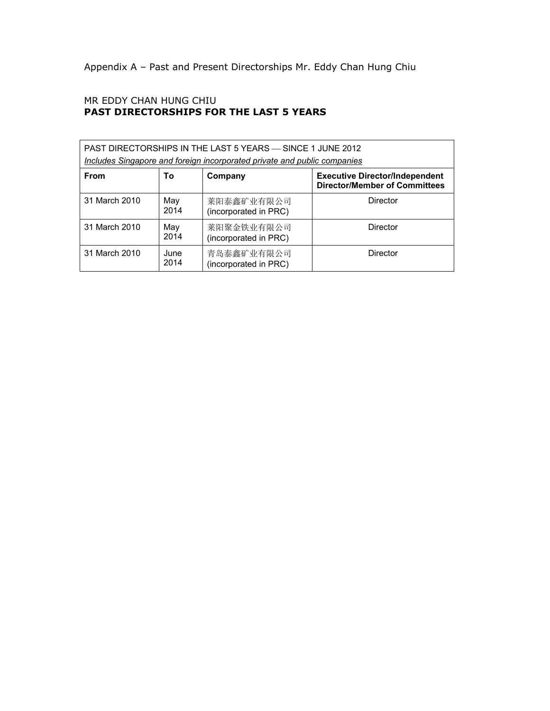Appendix A – Past and Present Directorships Mr. Eddy Chan Hung Chiu

## MR EDDY CHAN HUNG CHIU **PAST DIRECTORSHIPS FOR THE LAST 5 YEARS**

| PAST DIRECTORSHIPS IN THE LAST 5 YEARS - SINCE 1 JUNE 2012<br>Includes Singapore and foreign incorporated private and public companies |              |                                     |                                                                               |  |  |
|----------------------------------------------------------------------------------------------------------------------------------------|--------------|-------------------------------------|-------------------------------------------------------------------------------|--|--|
| <b>From</b>                                                                                                                            | To           | Company                             | <b>Executive Director/Independent</b><br><b>Director/Member of Committees</b> |  |  |
| 31 March 2010                                                                                                                          | May<br>2014  | 莱阳泰鑫矿业有限公司<br>(incorporated in PRC) | Director                                                                      |  |  |
| 31 March 2010                                                                                                                          | May<br>2014  | 莱阳聚金铁业有限公司<br>(incorporated in PRC) | Director                                                                      |  |  |
| 31 March 2010                                                                                                                          | June<br>2014 | 青岛泰鑫矿业有限公司<br>(incorporated in PRC) | Director                                                                      |  |  |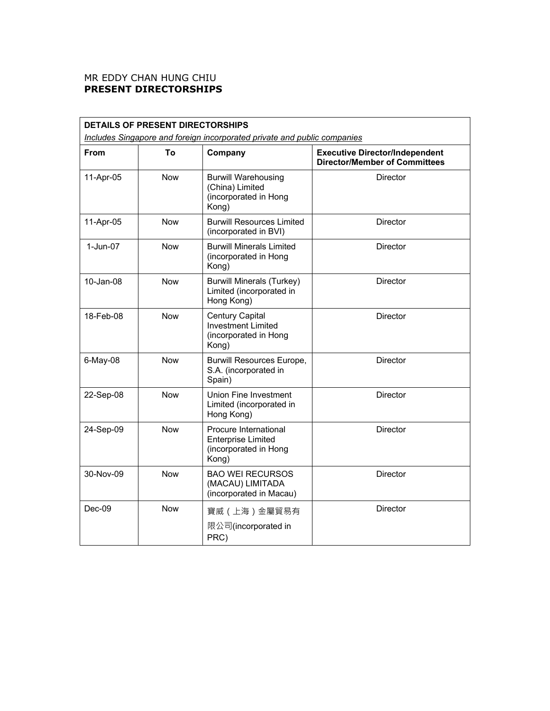## MR EDDY CHAN HUNG CHIU **PRESENT DIRECTORSHIPS**

| <b>DETAILS OF PRESENT DIRECTORSHIPS</b>                                  |            |                                                                                      |                                                                               |  |  |  |
|--------------------------------------------------------------------------|------------|--------------------------------------------------------------------------------------|-------------------------------------------------------------------------------|--|--|--|
| Includes Singapore and foreign incorporated private and public companies |            |                                                                                      |                                                                               |  |  |  |
| From                                                                     | To         | Company                                                                              | <b>Executive Director/Independent</b><br><b>Director/Member of Committees</b> |  |  |  |
| 11-Apr-05                                                                | <b>Now</b> | <b>Burwill Warehousing</b><br>(China) Limited<br>(incorporated in Hong<br>Kong)      | <b>Director</b>                                                               |  |  |  |
| 11-Apr-05                                                                | Now        | <b>Burwill Resources Limited</b><br>(incorporated in BVI)                            | Director                                                                      |  |  |  |
| 1-Jun-07                                                                 | <b>Now</b> | <b>Burwill Minerals Limited</b><br>(incorporated in Hong<br>Kong)                    | Director                                                                      |  |  |  |
| 10-Jan-08                                                                | <b>Now</b> | <b>Burwill Minerals (Turkey)</b><br>Limited (incorporated in<br>Hong Kong)           | <b>Director</b>                                                               |  |  |  |
| 18-Feb-08                                                                | <b>Now</b> | <b>Century Capital</b><br>Investment Limited<br>(incorporated in Hong<br>Kong)       | <b>Director</b>                                                               |  |  |  |
| 6-May-08                                                                 | <b>Now</b> | <b>Burwill Resources Europe,</b><br>S.A. (incorporated in<br>Spain)                  | Director                                                                      |  |  |  |
| 22-Sep-08                                                                | <b>Now</b> | Union Fine Investment<br>Limited (incorporated in<br>Hong Kong)                      | <b>Director</b>                                                               |  |  |  |
| 24-Sep-09                                                                | <b>Now</b> | Procure International<br><b>Enterprise Limited</b><br>(incorporated in Hong<br>Kong) | <b>Director</b>                                                               |  |  |  |
| 30-Nov-09                                                                | <b>Now</b> | <b>BAO WEI RECURSOS</b><br>(MACAU) LIMITADA<br>(incorporated in Macau)               | <b>Director</b>                                                               |  |  |  |
| $Dec-09$                                                                 | <b>Now</b> | 寶威(上海)金屬貿易有<br>限公司(incorporated in<br>PRC)                                           | Director                                                                      |  |  |  |